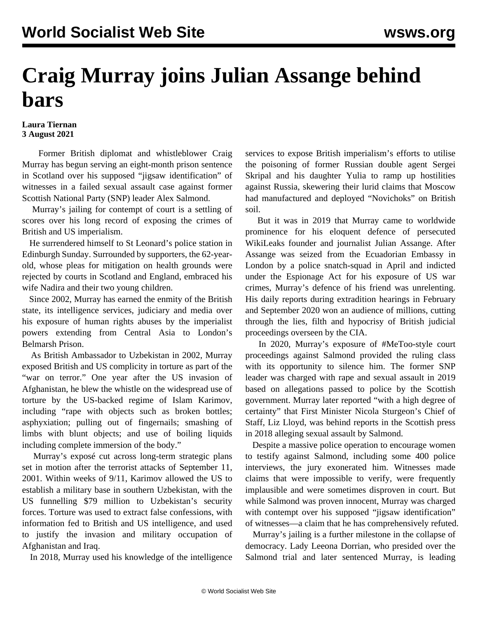## **Craig Murray joins Julian Assange behind bars**

## **Laura Tiernan 3 August 2021**

 Former British diplomat and whistleblower Craig Murray has begun serving an eight-month prison sentence in Scotland over his supposed "jigsaw identification" of witnesses in a failed sexual assault case against former Scottish National Party (SNP) leader Alex Salmond.

 Murray's jailing for contempt of court is a settling of scores over his long record of exposing the crimes of British and US imperialism.

 He surrendered himself to St Leonard's police station in Edinburgh Sunday. Surrounded by supporters, the 62-yearold, whose pleas for mitigation on health grounds were rejected by courts in Scotland and England, embraced his wife Nadira and their two young children.

 Since 2002, Murray has earned the enmity of the British state, its intelligence services, judiciary and media over his exposure of human rights abuses by the imperialist powers extending from Central Asia to London's Belmarsh Prison.

 As British Ambassador to Uzbekistan in 2002, Murray exposed British and US complicity in torture as part of the "war on terror." One year after the US invasion of Afghanistan, he blew the whistle on the widespread use of torture by the US-backed regime of Islam Karimov, including "rape with objects such as broken bottles; asphyxiation; pulling out of fingernails; smashing of limbs with blunt objects; and use of boiling liquids including complete immersion of the body."

 Murray's exposé cut across long-term strategic plans set in motion after the terrorist attacks of September 11, 2001. Within weeks of 9/11, Karimov allowed the US to establish a military base in southern Uzbekistan, with the US funnelling \$79 million to Uzbekistan's security forces. Torture was used to extract false confessions, with information fed to British and US intelligence, and used to justify the invasion and military occupation of Afghanistan and Iraq.

In 2018, Murray used his knowledge of the intelligence

services to expose British imperialism's efforts to utilise the poisoning of former Russian double agent Sergei Skripal and his daughter Yulia to ramp up hostilities against Russia, skewering their lurid claims that Moscow had manufactured and deployed "Novichoks" on British soil.

 But it was in 2019 that Murray came to worldwide prominence for his eloquent defence of persecuted WikiLeaks founder and journalist Julian Assange. After Assange was seized from the Ecuadorian Embassy in London by a police snatch-squad in April and indicted under the Espionage Act for his exposure of US war crimes, Murray's defence of his friend was unrelenting. His daily reports during extradition hearings in February and September 2020 won an audience of millions, cutting through the lies, filth and hypocrisy of British judicial proceedings overseen by the CIA.

 In 2020, Murray's exposure of #MeToo-style court proceedings against Salmond provided the ruling class with its opportunity to silence him. The former SNP leader was charged with rape and sexual assault in 2019 based on allegations passed to police by the Scottish government. Murray later reported "with a high degree of certainty" that First Minister Nicola Sturgeon's Chief of Staff, Liz Lloyd, was behind reports in the Scottish press in 2018 alleging sexual assault by Salmond.

 Despite a massive police operation to encourage women to testify against Salmond, including some 400 police interviews, the jury exonerated him. Witnesses made claims that were impossible to verify, were frequently implausible and were sometimes disproven in court. But while Salmond was proven innocent, Murray was charged with contempt over his supposed "jigsaw identification" of witnesses—a claim that he has comprehensively refuted.

 Murray's jailing is a further milestone in the collapse of democracy. Lady Leeona Dorrian, who presided over the Salmond trial and later sentenced Murray, is leading